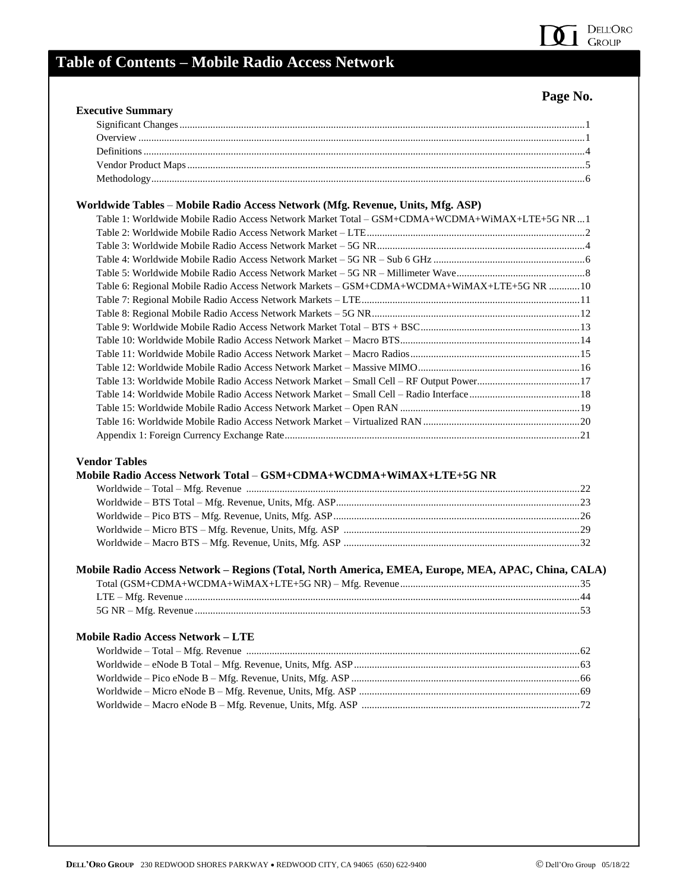

## **Table of Contents – Mobile Radio Access Network**

## **Page No.**

| Worldwide Tables - Mobile Radio Access Network (Mfg. Revenue, Units, Mfg. ASP)                                                                                                                                       |    |
|----------------------------------------------------------------------------------------------------------------------------------------------------------------------------------------------------------------------|----|
| Table 1: Worldwide Mobile Radio Access Network Market Total - GSM+CDMA+WCDMA+WiMAX+LTE+5G NR1                                                                                                                        |    |
|                                                                                                                                                                                                                      |    |
|                                                                                                                                                                                                                      |    |
|                                                                                                                                                                                                                      |    |
|                                                                                                                                                                                                                      |    |
| Table 6: Regional Mobile Radio Access Network Markets - GSM+CDMA+WCDMA+WiMAX+LTE+5G NR 10                                                                                                                            |    |
|                                                                                                                                                                                                                      |    |
|                                                                                                                                                                                                                      |    |
|                                                                                                                                                                                                                      |    |
|                                                                                                                                                                                                                      |    |
|                                                                                                                                                                                                                      |    |
|                                                                                                                                                                                                                      |    |
| Table 13: Worldwide Mobile Radio Access Network Market - Small Cell - RF Output Power17                                                                                                                              |    |
|                                                                                                                                                                                                                      |    |
|                                                                                                                                                                                                                      |    |
|                                                                                                                                                                                                                      |    |
|                                                                                                                                                                                                                      |    |
| <b>Vendor Tables</b>                                                                                                                                                                                                 |    |
|                                                                                                                                                                                                                      |    |
|                                                                                                                                                                                                                      |    |
|                                                                                                                                                                                                                      |    |
|                                                                                                                                                                                                                      |    |
|                                                                                                                                                                                                                      |    |
|                                                                                                                                                                                                                      |    |
|                                                                                                                                                                                                                      |    |
|                                                                                                                                                                                                                      |    |
|                                                                                                                                                                                                                      |    |
|                                                                                                                                                                                                                      |    |
|                                                                                                                                                                                                                      |    |
|                                                                                                                                                                                                                      |    |
|                                                                                                                                                                                                                      |    |
| Mobile Radio Access Network Total - GSM+CDMA+WCDMA+WiMAX+LTE+5G NR<br>Mobile Radio Access Network - Regions (Total, North America, EMEA, Europe, MEA, APAC, China, CALA)<br><b>Mobile Radio Access Network - LTE</b> | 53 |